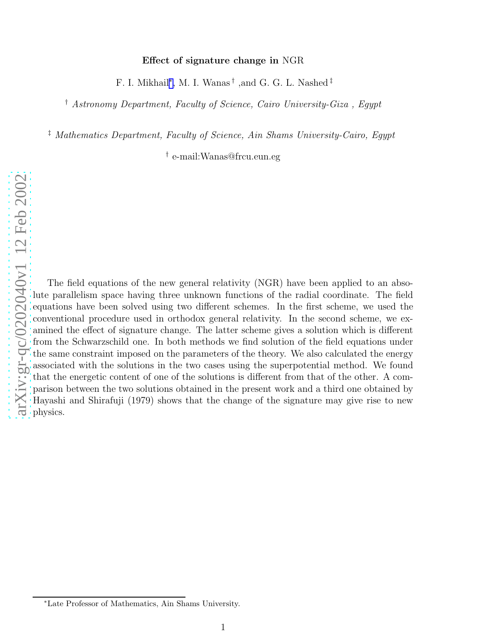#### Effect of signature change in NGR

F. I. Mikhail ∗ , M. I. Wanas † ,and G. G. L. Nashed ‡

† *Astronomy Department, Faculty of Science, Cairo University-Giza , Egypt*

‡ *Mathematics Department, Faculty of Science, Ain Shams University-Cairo, Egypt*

† e-mail:Wanas@frcu.eun.eg

The field equations of the new general relativity (NGR) have been applied to an absolute parallelism space having three unknown functions of the radial coordinate. The field equations have been solved using two different schemes. In the first scheme, we used the conventional procedure used in orthodox general relativity. In the second scheme, we examined the effect of signature change. The latter scheme gives a solution which is different from the Schwarzschild one. In both methods we find solution of the field equations under the same constraint imposed on the parameters of the theory. We also calculated the energy associated with the solutions in the two cases using the superpotential method. We found that the energetic content of one of the solutions is different from that of the other. A comparison between the two solutions obtained in the present work and a third one obtained by Hayashi and Shirafuji (1979) shows that the change of the signature may give rise to new physics.

<sup>∗</sup>Late Professor of Mathematics, Ain Shams University.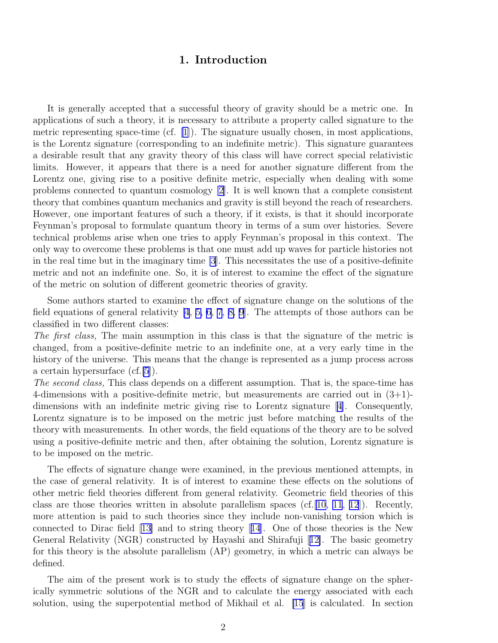### 1. Introduction

It is generally accepted that a successful theory of gravity should be a metric one. In applications of such a theory, it is necessary to attribute a property called signature to the metric representing space-time (cf.  $[1]$ ). The signature usually chosen, in most applications, is the Lorentz signature (corresponding to an indefinite metric). This signature guarantees a desirable result that any gravity theory of this class will have correct special relativistic limits. However, it appears that there is a need for another signature different from the Lorentz one, giving rise to a positive definite metric, especially when dealing with some problems connected to quantum cosmology [\[2](#page-14-0)]. It is well known that a complete consistent theory that combines quantum mechanics and gravity is still beyond the reach of researchers. However, one important features of such a theory, if it exists, is that it should incorporate Feynman's proposal to formulate quantum theory in terms of a sum over histories. Severe technical problems arise when one tries to apply Feynman's proposal in this context. The only way to overcome these problems is that one must add up waves for particle histories not in the real time but in the imaginary time [\[3](#page-14-0)]. This necessitates the use of a positive-definite metric and not an indefinite one. So, it is of interest to examine the effect of the signature of the metric on solution of different geometric theories of gravity.

Some authors started to examine the effect of signature change on the solutions of the field equations of general relativity  $[4, 5, 6, 7, 8, 9]$  $[4, 5, 6, 7, 8, 9]$  $[4, 5, 6, 7, 8, 9]$  $[4, 5, 6, 7, 8, 9]$ . The attempts of those authors can be classified in two different classes:

*The first class,* The main assumption in this class is that the signature of the metric is changed, from a positive-definite metric to an indefinite one, at a very early time in the history of the universe. This means that the change is represented as a jump process across a certain hypersurface (cf.[\[5](#page-14-0)]).

*The second class,* This class depends on a different assumption. That is, the space-time has 4-dimensions with a positive-definite metric, but measurements are carried out in  $(3+1)$ dimensions with an indefinite metric giving rise to Lorentz signature[[4\]](#page-14-0). Consequently, Lorentz signature is to be imposed on the metric just before matching the results of the theory with measurements. In other words, the field equations of the theory are to be solved using a positive-definite metric and then, after obtaining the solution, Lorentz signature is to be imposed on the metric.

The effects of signature change were examined, in the previous mentioned attempts, in the case of general relativity. It is of interest to examine these effects on the solutions of other metric field theories different from general relativity. Geometric field theories of this class are those theories written in absolute parallelism spaces (cf. [\[10](#page-14-0), [11](#page-14-0), [12](#page-14-0)]). Recently, more attention is paid to such theories since they include non-vanishing torsion which is connected to Dirac field [\[13\]](#page-14-0) and to string theory[[14](#page-14-0)]. One of those theories is the New General Relativity (NGR) constructed by Hayashi and Shirafuji[[12\]](#page-14-0). The basic geometry for this theory is the absolute parallelism (AP) geometry, in which a metric can always be defined.

The aim of the present work is to study the effects of signature change on the spherically symmetric solutions of the NGR and to calculate the energy associated with each solution, using the superpotential method of Mikhail et al. [\[15](#page-14-0)] is calculated. In section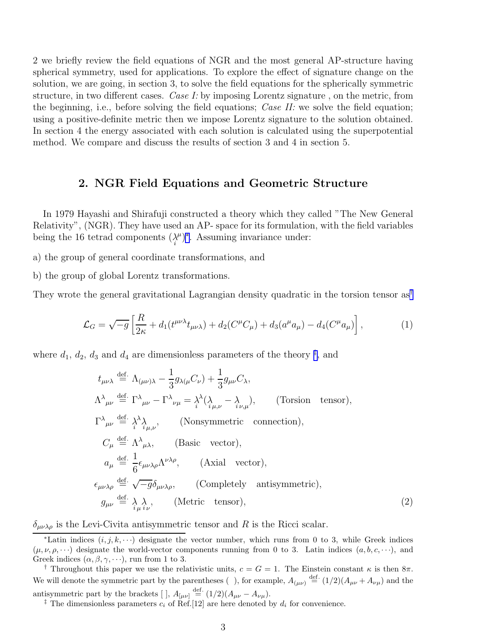2 we briefly review the field equations of NGR and the most general AP-structure having spherical symmetry, used for applications. To explore the effect of signature change on the solution, we are going, in section 3, to solve the field equations for the spherically symmetric structure, in two different cases. *Case I:* by imposing Lorentz signature , on the metric, from the beginning, i.e., before solving the field equations; *Case II:* we solve the field equation; using a positive-definite metric then we impose Lorentz signature to the solution obtained. In section 4 the energy associated with each solution is calculated using the superpotential method. We compare and discuss the results of section 3 and 4 in section 5.

### 2. NGR Field Equations and Geometric Structure

In 1979 Hayashi and Shirafuji constructed a theory which they called "The New General Relativity", (NGR). They have used an AP- space for its formulation, with the field variables being the 16 tetrad components  $(\underset{i}{\lambda}$  $(\mu^{\mu})^*$ . Assuming invariance under:

a) the group of general coordinate transformations, and

b) the group of global Lorentz transformations.

They wrote the general gravitational Lagrangian density quadratic in the torsion tensor as†

$$
\mathcal{L}_G = \sqrt{-g} \left[ \frac{R}{2\kappa} + d_1(t^{\mu\nu\lambda} t_{\mu\nu\lambda}) + d_2(C^{\mu} C_{\mu}) + d_3(a^{\mu} a_{\mu}) - d_4(C^{\mu} a_{\mu}) \right],
$$
 (1)

where  $d_1, d_2, d_3$  and  $d_4$  are dimensionless parameters of the theory <sup>‡</sup>, and

$$
t_{\mu\nu\lambda} \stackrel{\text{def.}}{=} \Lambda_{(\mu\nu)\lambda} - \frac{1}{3} g_{\lambda(\mu} C_{\nu}) + \frac{1}{3} g_{\mu\nu} C_{\lambda},
$$
  
\n
$$
\Lambda^{\lambda}{}_{\mu\nu} \stackrel{\text{def.}}{=} \Gamma^{\lambda}{}_{\mu\nu} - \Gamma^{\lambda}{}_{\nu\mu} = \lambda^{\lambda} (\lambda_{\mu,\nu} - \lambda_{\nu,\mu}), \qquad \text{(Torsion tensor)},
$$
  
\n
$$
\Gamma^{\lambda}{}_{\mu\nu} \stackrel{\text{def.}}{=} \lambda^{\lambda}{}_{\lambda} \lambda_{\mu,\nu}, \qquad \text{(Nonsymmetric connection)},
$$
  
\n
$$
C_{\mu} \stackrel{\text{def.}}{=} \Lambda^{\lambda}{}_{\mu\lambda}, \qquad \text{(Basic vector)},
$$
  
\n
$$
a_{\mu} \stackrel{\text{def.}}{=} \frac{1}{6} \epsilon_{\mu\nu\lambda\rho} \Lambda^{\nu\lambda\rho}, \qquad \text{(Axial vector)},
$$
  
\n
$$
\epsilon_{\mu\nu\lambda\rho} \stackrel{\text{def.}}{=} \sqrt{-g} \delta_{\mu\nu\lambda\rho}, \qquad \text{(Completely antisymmetric)},
$$
  
\n
$$
g_{\mu\nu} \stackrel{\text{def.}}{=} \lambda_{\mu} \lambda_{\nu}, \qquad \text{(Metric tensor)}, \qquad \text{(2)}
$$

 $\delta_{\mu\nu\lambda\rho}$  is the Levi-Civita antisymmetric tensor and R is the Ricci scalar.

<sup>\*</sup>Latin indices  $(i, j, k, \dots)$  designate the vector number, which runs from 0 to 3, while Greek indices  $(\mu, \nu, \rho, \cdots)$  designate the world-vector components running from 0 to 3. Latin indices  $(a, b, c, \cdots)$ , and Greek indices  $(\alpha, \beta, \gamma, \cdots)$ , run from 1 to 3.

<sup>&</sup>lt;sup>†</sup> Throughout this paper we use the relativistic units,  $c = G = 1$ . The Einstein constant  $\kappa$  is then  $8\pi$ . We will denote the symmetric part by the parentheses (), for example,  $A_{(\mu\nu)} \stackrel{\text{def.}}{=} (1/2)(A_{\mu\nu} + A_{\nu\mu})$  and the antisymmetric part by the brackets [],  $A_{\mu\nu}$  def.  $(1/2)(A_{\mu\nu} - A_{\nu\mu})$ .

<sup>&</sup>lt;sup>‡</sup> The dimensionless parameters  $c_i$  of Ref.[12] are here denoted by  $d_i$  for convenience.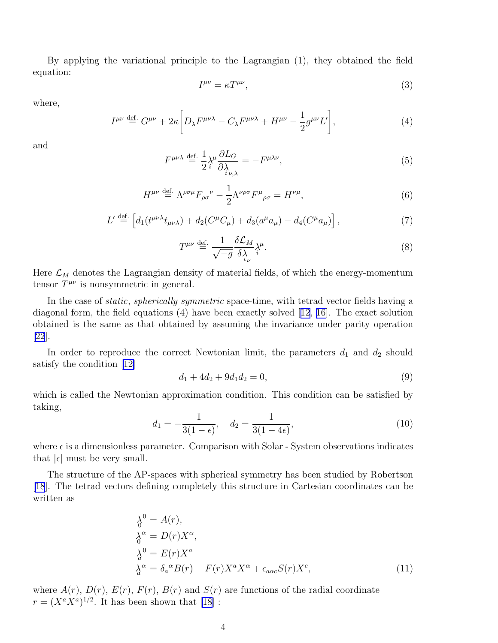By applying the variational principle to the Lagrangian (1), they obtained the field equation:

$$
I^{\mu\nu} = \kappa T^{\mu\nu},\tag{3}
$$

where,

$$
I^{\mu\nu} \stackrel{\text{def.}}{=} G^{\mu\nu} + 2\kappa \bigg[ D_{\lambda} F^{\mu\nu\lambda} - C_{\lambda} F^{\mu\nu\lambda} + H^{\mu\nu} - \frac{1}{2} g^{\mu\nu} L' \bigg],\tag{4}
$$

and

$$
F^{\mu\nu\lambda} \stackrel{\text{def.}}{=} \frac{1}{2} \lambda^{\mu} \frac{\partial L_G}{\partial \lambda_{i\nu,\lambda}} = -F^{\mu\lambda\nu},\tag{5}
$$

$$
H^{\mu\nu} \stackrel{\text{def.}}{=} \Lambda^{\rho\sigma\mu} F_{\rho\sigma}{}^{\nu} - \frac{1}{2} \Lambda^{\nu\rho\sigma} F^{\mu}{}_{\rho\sigma} = H^{\nu\mu},\tag{6}
$$

$$
L' \stackrel{\text{def.}}{=} \left[ d_1(t^{\mu\nu\lambda} t_{\mu\nu\lambda}) + d_2(C^{\mu} C_{\mu}) + d_3(a^{\mu} a_{\mu}) - d_4(C^{\mu} a_{\mu}) \right],\tag{7}
$$

$$
T^{\mu\nu} \stackrel{\text{def.}}{=} \frac{1}{\sqrt{-g}} \frac{\delta \mathcal{L}_M}{\delta_{i\nu}^{\lambda}} \lambda^{\mu}.
$$
 (8)

Here  $\mathcal{L}_M$  denotes the Lagrangian density of material fields, of which the energy-momentum tensor  $T^{\mu\nu}$  is nonsymmetric in general.

In the case of *static*, *spherically symmetric* space-time, with tetrad vector fields having a diagonal form, the field equations (4) have been exactly solved[[12](#page-14-0), [16\]](#page-14-0). The exact solution obtained is the same as that obtained by assuming the invariance under parity operation [[22](#page-14-0)].

In order to reproduce the correct Newtonian limit, the parameters  $d_1$  and  $d_2$  should satisfy the condition[[12\]](#page-14-0)

$$
d_1 + 4d_2 + 9d_1 d_2 = 0,\t\t(9)
$$

which is called the Newtonian approximation condition. This condition can be satisfied by taking,

$$
d_1 = -\frac{1}{3(1 - \epsilon)}, \quad d_2 = \frac{1}{3(1 - 4\epsilon)}, \tag{10}
$$

where  $\epsilon$  is a dimensionless parameter. Comparison with Solar - System observations indicates that  $|\epsilon|$  must be very small.

The structure of the AP-spaces with spherical symmetry has been studied by Robertson [[18](#page-14-0)]. The tetrad vectors defining completely this structure in Cartesian coordinates can be written as

$$
\begin{aligned}\n\lambda_0^0 &= A(r), \\
\lambda_0^\alpha &= D(r)X^\alpha, \\
\lambda_0^0 &= E(r)X^a \\
\lambda_0^\alpha &= \delta_a{}^\alpha B(r) + F(r)X^a X^\alpha + \epsilon_{a\alpha c} S(r)X^c,\n\end{aligned} \tag{11}
$$

where  $A(r)$ ,  $D(r)$ ,  $E(r)$ ,  $F(r)$ ,  $B(r)$  and  $S(r)$  are functions of the radial coordinate  $r = (X^a X^a)^{1/2}$ . It has been shown that [\[18\]](#page-14-0) :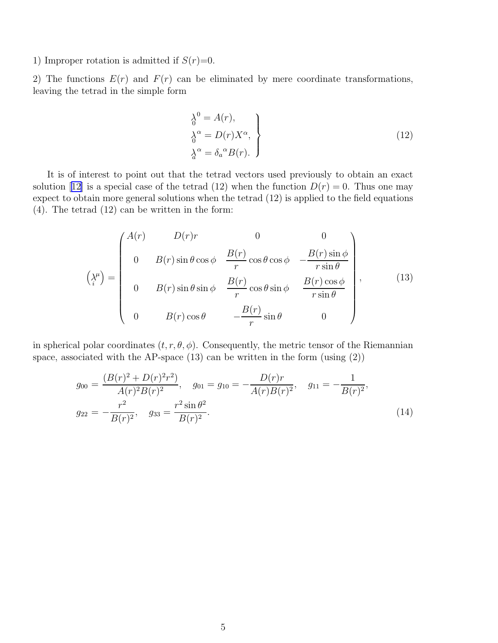1) Improper rotation is admitted if  $S(r)=0$ .

2) The functions  $E(r)$  and  $F(r)$  can be eliminated by mere coordinate transformations, leaving the tetrad in the simple form

$$
\begin{aligned}\n\lambda_0^0 &= A(r), \\
\lambda_0^\alpha &= D(r)X^\alpha, \\
\lambda_a^\alpha &= \delta_a^\alpha B(r).\n\end{aligned}
$$
\n(12)

It is of interest to point out that the tetrad vectors used previously to obtain an exact solution[[12\]](#page-14-0) is a special case of the tetrad (12) when the function  $D(r) = 0$ . Thus one may expect to obtain more general solutions when the tetrad (12) is applied to the field equations (4). The tetrad (12) can be written in the form:

$$
\begin{pmatrix}\nA(r) & D(r)r & 0 & 0 \\
0 & B(r)\sin\theta\cos\phi & \frac{B(r)}{r}\cos\theta\cos\phi & -\frac{B(r)\sin\phi}{r\sin\theta} \\
0 & B(r)\sin\theta\sin\phi & \frac{B(r)}{r}\cos\theta\sin\phi & \frac{B(r)\cos\phi}{r\sin\theta} \\
0 & B(r)\cos\theta & -\frac{B(r)}{r}\sin\theta & 0\n\end{pmatrix},
$$
\n(13)

in spherical polar coordinates  $(t, r, \theta, \phi)$ . Consequently, the metric tensor of the Riemannian space, associated with the AP-space  $(13)$  can be written in the form  $(u\sin(2))$ 

$$
g_{00} = \frac{(B(r)^2 + D(r)^2 r^2)}{A(r)^2 B(r)^2}, \quad g_{01} = g_{10} = -\frac{D(r)r}{A(r)B(r)^2}, \quad g_{11} = -\frac{1}{B(r)^2},
$$
  

$$
g_{22} = -\frac{r^2}{B(r)^2}, \quad g_{33} = \frac{r^2 \sin \theta^2}{B(r)^2}.
$$
 (14)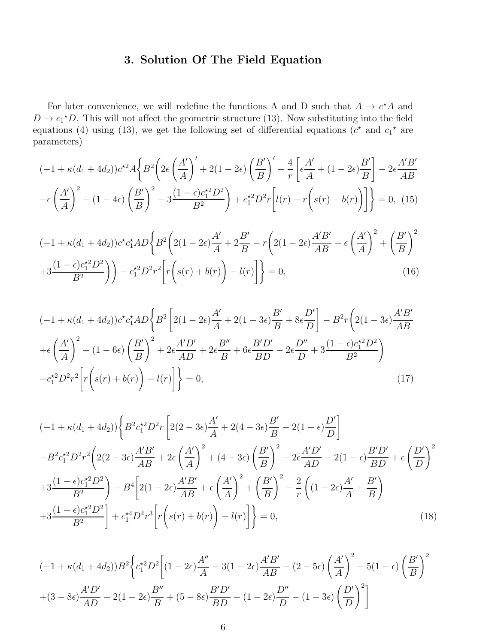## 3. Solution Of The Field Equation

For later convenience, we will redefine the functions A and D such that  $A \to c^*A$  and  $D \to c_1^*D$ . This will not affect the geometric structure (13). Now substituting into the field equations (4) using (13), we get the following set of differential equations  $(c^*$  and  $c_1^*$  are parameters)

$$
(-1 + \kappa(d_1 + 4d_2))c^{*2}A\left\{B^2\left(2\epsilon\left(\frac{A'}{A}\right)' + 2(1 - 2\epsilon)\left(\frac{B'}{B}\right)' + \frac{4}{r}\left[\epsilon\frac{A'}{A} + (1 - 2\epsilon)\frac{B'}{B}\right] - 2\epsilon\frac{A'B'}{AB}\right\}
$$

$$
-\epsilon\left(\frac{A'}{A}\right)^2 - (1 - 4\epsilon)\left(\frac{B'}{B}\right)^2 - 3\frac{(1 - \epsilon)c_1^{*2}D^2}{B^2}\right) + c_1^{*2}D^2r\left[l(r) - r\left(s(r) + b(r)\right)\right]\right\} = 0, \tag{15}
$$

$$
(-1 + \kappa(d_1 + 4d_2))c^*c_1^*AD\left\{B^2\left(2(1 - 2\epsilon)\frac{A'}{A} + 2\frac{B'}{B} - r\left(2(1 - 2\epsilon)\frac{A'B'}{AB} + \epsilon\left(\frac{A'}{A}\right)^2 + \left(\frac{B'}{B}\right)^2 + 3\frac{(1 - \epsilon)c_1^{*2}D^2}{B^2}\right)\right) - c_1^{*2}D^2r^2\left[r\left(s(r) + b(r)\right) - l(r)\right]\right\} = 0,
$$
\n(16)

$$
(-1 + \kappa(d_1 + 4d_2))c^*c_1^*AD\left\{B^2 \left[2(1 - 2\epsilon)\frac{A'}{A} + 2(1 - 3\epsilon)\frac{B'}{B} + 8\epsilon\frac{D'}{D}\right] - B^2r\left(2(1 - 3\epsilon)\frac{A'B'}{AB}\right)\right\} + \epsilon\left(\frac{A'}{A}\right)^2 + (1 - 6\epsilon)\left(\frac{B'}{B}\right)^2 + 2\epsilon\frac{A'D'}{AD} + 2\epsilon\frac{B''}{B} + 6\epsilon\frac{B'D'}{BD} - 2\epsilon\frac{D''}{D} + 3\frac{(1 - \epsilon)c_1^*2D^2}{B^2} - c_1^*2D^2r^2\left[r\left(s(r) + b(r)\right) - l(r)\right]\right\} = 0,
$$
\n(17)

$$
(-1 + \kappa(d_1 + 4d_2)) \left\{ B^2 c_1^{\star 2} D^2 r \left[ 2(2 - 3\epsilon) \frac{A'}{A} + 2(4 - 3\epsilon) \frac{B'}{B} - 2(1 - \epsilon) \frac{D'}{D} \right] \right\}
$$
  
\n
$$
-B^2 c_1^{\star 2} D^2 r^2 \left( 2(2 - 3\epsilon) \frac{A'B'}{AB} + 2\epsilon \left( \frac{A'}{A} \right)^2 + (4 - 3\epsilon) \left( \frac{B'}{B} \right)^2 - 2\epsilon \frac{A'D'}{AD} - 2(1 - \epsilon) \frac{B'D'}{BD} + \epsilon \left( \frac{D'}{D} \right)^2
$$
  
\n
$$
+3 \frac{(1 - \epsilon)c_1^{\star 2} D^2}{B^2} \right) + B^4 \left[ 2(1 - 2\epsilon) \frac{A'B'}{AB} + \epsilon \left( \frac{A'}{A} \right)^2 + \left( \frac{B'}{B} \right)^2 - \frac{2}{r} \left( (1 - 2\epsilon) \frac{A'}{A} + \frac{B'}{B} \right)
$$
  
\n
$$
+3 \frac{(1 - \epsilon)c_1^{\star 2} D^2}{B^2} \right] + c_1^{\star 4} D^4 r^3 \left[ r \left( s(r) + b(r) \right) - l(r) \right] \bigg\} = 0,
$$
  
\n(18)

$$
(-1 + \kappa(d_1 + 4d_2))B^2 \left\{ c_1^{\star 2} D^2 \left[ (1 - 2\epsilon) \frac{A''}{A} - 3(1 - 2\epsilon) \frac{A'B'}{AB} - (2 - 5\epsilon) \left( \frac{A'}{A} \right)^2 - 5(1 - \epsilon) \left( \frac{B'}{B} \right)^2 \right. \right\}
$$

$$
+ (3 - 8\epsilon) \frac{A'D'}{AD} - 2(1 - 2\epsilon) \frac{B''}{B} + (5 - 8\epsilon) \frac{B'D'}{BD} - (1 - 2\epsilon) \frac{D''}{D} - (1 - 3\epsilon) \left( \frac{D'}{D} \right)^2 \right]
$$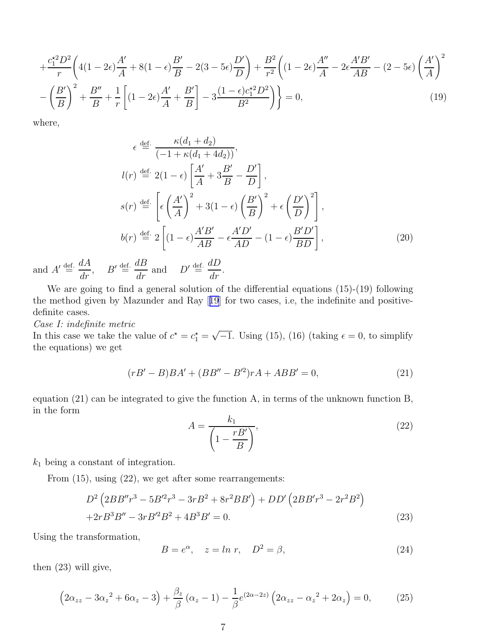$$
+\frac{c_1^{\star 2}D^2}{r}\left(4(1-2\epsilon)\frac{A'}{A}+8(1-\epsilon)\frac{B'}{B}-2(3-5\epsilon)\frac{D'}{D}\right)+\frac{B^2}{r^2}\left((1-2\epsilon)\frac{A''}{A}-2\epsilon\frac{A'B'}{AB}-(2-5\epsilon)\left(\frac{A'}{A}\right)^2-\\-\left(\frac{B'}{B}\right)^2+\frac{B''}{B}+\frac{1}{r}\left[(1-2\epsilon)\frac{A'}{A}+\frac{B'}{B}\right]-3\frac{(1-\epsilon)c_1^{\star 2}D^2}{B^2}\right)\bigg}=0,
$$
\n(19)

where,

$$
\epsilon \stackrel{\text{def.}}{=} \frac{\kappa(d_1 + d_2)}{(-1 + \kappa(d_1 + 4d_2))},
$$
  
\n
$$
l(r) \stackrel{\text{def.}}{=} 2(1 - \epsilon) \left[ \frac{A'}{A} + 3\frac{B'}{B} - \frac{D'}{D} \right],
$$
  
\n
$$
s(r) \stackrel{\text{def.}}{=} \left[ \epsilon \left( \frac{A'}{A} \right)^2 + 3(1 - \epsilon) \left( \frac{B'}{B} \right)^2 + \epsilon \left( \frac{D'}{D} \right)^2 \right],
$$
  
\n
$$
b(r) \stackrel{\text{def.}}{=} 2 \left[ (1 - \epsilon) \frac{A'B'}{AB} - \epsilon \frac{A'D'}{AD} - (1 - \epsilon) \frac{B'D'}{BD} \right],
$$
\n(20)

and  $A' \triangleq \frac{dA}{dr}$ ,  $B' \triangleq \frac{dB}{dr}$  and  $D' \triangleq \frac{dD}{dr}$  $\frac{dE}{dr}$ .

We are going to find a general solution of the differential equations (15)-(19) following the method given by Mazunder and Ray[[19](#page-14-0)] for two cases, i.e, the indefinite and positivedefinite cases.

*Case I: indefinite metric*

In this case we take the value of  $c^* = c_1^* = \sqrt{-1}$ . Using (15), (16) (taking  $\epsilon = 0$ , to simplify the equations) we get

$$
(rB' - B)BA' + (BB'' - B'^2)rA + ABB' = 0,
$$
\n(21)

equation (21) can be integrated to give the function A, in terms of the unknown function B, in the form

$$
A = \frac{k_1}{\left(1 - \frac{rB'}{B}\right)},\tag{22}
$$

 $k_1$  being a constant of integration.

From (15), using (22), we get after some rearrangements:

$$
D^{2} \left( 2BB''r^{3} - 5B'^{2}r^{3} - 3rB^{2} + 8r^{2}BB' \right) + DD' \left( 2BB'r^{3} - 2r^{2}B^{2} \right) + 2rB^{3}B'' - 3rB'^{2}B^{2} + 4B^{3}B' = 0.
$$
 (23)

Using the transformation,

$$
B = e^{\alpha}, \quad z = \ln r, \quad D^2 = \beta,
$$
\n<sup>(24)</sup>

then (23) will give,

$$
(2\alpha_{zz} - 3\alpha_z^2 + 6\alpha_z - 3) + \frac{\beta_z}{\beta} (\alpha_z - 1) - \frac{1}{\beta} e^{(2\alpha - 2z)} (2\alpha_{zz} - \alpha_z^2 + 2\alpha_z) = 0, \tag{25}
$$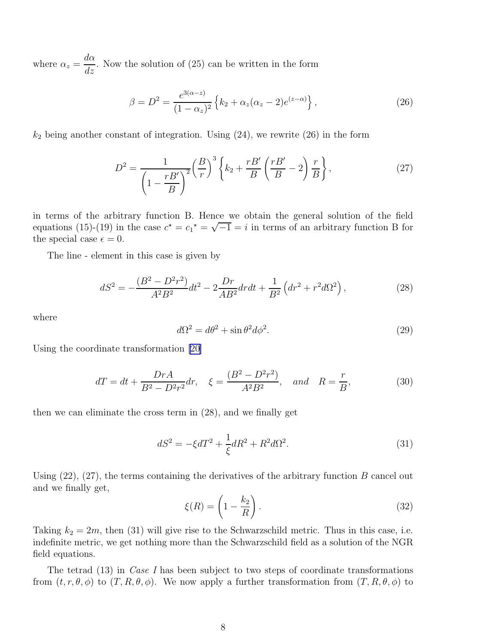where  $\alpha_z =$  $d\alpha$  $\frac{d\alpha}{dz}$ . Now the solution of (25) can be written in the form

$$
\beta = D^2 = \frac{e^{3(\alpha - z)}}{(1 - \alpha_z)^2} \left\{ k_2 + \alpha_z (\alpha_z - 2) e^{(z - \alpha)} \right\},\tag{26}
$$

 $k_2$  being another constant of integration. Using  $(24)$ , we rewrite  $(26)$  in the form

$$
D^2 = \frac{1}{\left(1 - \frac{rB'}{B}\right)^2} \left(\frac{B}{r}\right)^3 \left\{k_2 + \frac{rB'}{B} \left(\frac{rB'}{B} - 2\right) \frac{r}{B}\right\},\tag{27}
$$

in terms of the arbitrary function B. Hence we obtain the general solution of the field equations (15)-(19) in the case  $c^* = c_1^* = \sqrt{-1} = i$  in terms of an arbitrary function B for the special case  $\epsilon = 0$ .

The line - element in this case is given by

$$
dS^{2} = -\frac{(B^{2} - D^{2}r^{2})}{A^{2}B^{2}}dt^{2} - 2\frac{Dr}{AB^{2}}drdt + \frac{1}{B^{2}}\left(dr^{2} + r^{2}d\Omega^{2}\right),
$$
 (28)

where

$$
d\Omega^2 = d\theta^2 + \sin\theta^2 d\phi^2. \tag{29}
$$

Using the coordinate transformation [\[20\]](#page-14-0)

$$
dT = dt + \frac{DrA}{B^2 - D^2r^2}dr, \quad \xi = \frac{(B^2 - D^2r^2)}{A^2B^2}, \quad and \quad R = \frac{r}{B},
$$
 (30)

then we can eliminate the cross term in (28), and we finally get

$$
dS^2 = -\xi dT^2 + \frac{1}{\xi}dR^2 + R^2d\Omega^2.
$$
 (31)

Using  $(22)$ ,  $(27)$ , the terms containing the derivatives of the arbitrary function B cancel out and we finally get,

$$
\xi(R) = \left(1 - \frac{k_2}{R}\right). \tag{32}
$$

Taking  $k_2 = 2m$ , then (31) will give rise to the Schwarzschild metric. Thus in this case, i.e. indefinite metric, we get nothing more than the Schwarzschild field as a solution of the NGR field equations.

The tetrad (13) in *Case I* has been subject to two steps of coordinate transformations from  $(t, r, \theta, \phi)$  to  $(T, R, \theta, \phi)$ . We now apply a further transformation from  $(T, R, \theta, \phi)$  to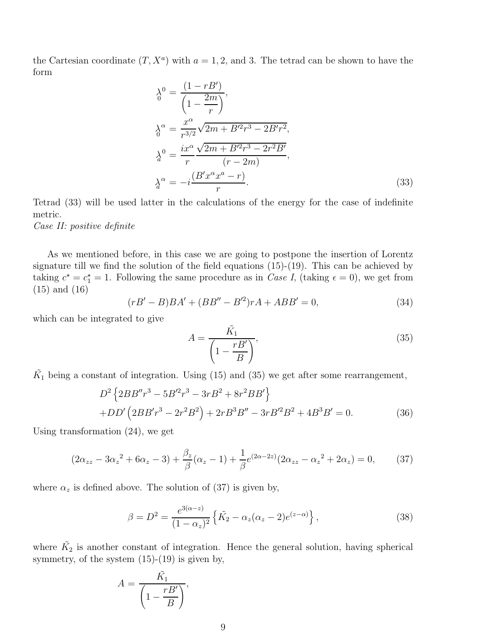the Cartesian coordinate  $(T, X^a)$  with  $a = 1, 2$ , and 3. The tetrad can be shown to have the form

$$
\lambda_0^0 = \frac{(1 - rB')}{\left(1 - \frac{2m}{r}\right)},
$$
  
\n
$$
\lambda_0^\alpha = \frac{x^\alpha}{r^{3/2}} \sqrt{2m + B'^2 r^3 - 2B' r^2},
$$
  
\n
$$
\lambda_0^0 = \frac{ix^\alpha}{r} \frac{\sqrt{2m + B'^2 r^3 - 2r^2 B'}}{(r - 2m)},
$$
  
\n
$$
\lambda_0^\alpha = -i \frac{(B' x^\alpha x^\alpha - r)}{r}.
$$
\n(33)

Tetrad (33) will be used latter in the calculations of the energy for the case of indefinite metric.

*Case II: positive definite*

As we mentioned before, in this case we are going to postpone the insertion of Lorentz signature till we find the solution of the field equations (15)-(19). This can be achieved by taking  $c^* = c_1^* = 1$ . Following the same procedure as in *Case I*, (taking  $\epsilon = 0$ ), we get from (15) and (16)

$$
(rB' - B)BA' + (BB'' - B'^2)rA + ABB' = 0,
$$
\n(34)

which can be integrated to give

$$
A = \frac{\tilde{K}_1}{\left(1 - \frac{rB'}{B}\right)},\tag{35}
$$

 $\tilde{K_1}$  being a constant of integration. Using (15) and (35) we get after some rearrangement,

$$
D^{2} \left\{ 2BB''r^{3} - 5B'^{2}r^{3} - 3rB^{2} + 8r^{2}BB' \right\}
$$
  
+ 
$$
DD' \left( 2BB'r^{3} - 2r^{2}B^{2} \right) + 2rB^{3}B'' - 3rB'^{2}B^{2} + 4B^{3}B' = 0.
$$
 (36)

Using transformation (24), we get

$$
(2\alpha_{zz} - 3\alpha_z^2 + 6\alpha_z - 3) + \frac{\beta_z}{\beta}(\alpha_z - 1) + \frac{1}{\beta}e^{(2\alpha - 2z)}(2\alpha_{zz} - \alpha_z^2 + 2\alpha_z) = 0, \qquad (37)
$$

where  $\alpha_z$  is defined above. The solution of (37) is given by,

$$
\beta = D^2 = \frac{e^{3(\alpha - z)}}{(1 - \alpha_z)^2} \left\{ \tilde{K_2} - \alpha_z (\alpha_z - 2) e^{(z - \alpha)} \right\},\tag{38}
$$

where  $\tilde{K}_2$  is another constant of integration. Hence the general solution, having spherical symmetry, of the system  $(15)-(19)$  is given by,

$$
A = \frac{\tilde{K_1}}{\left(1 - \frac{rB'}{B}\right)},
$$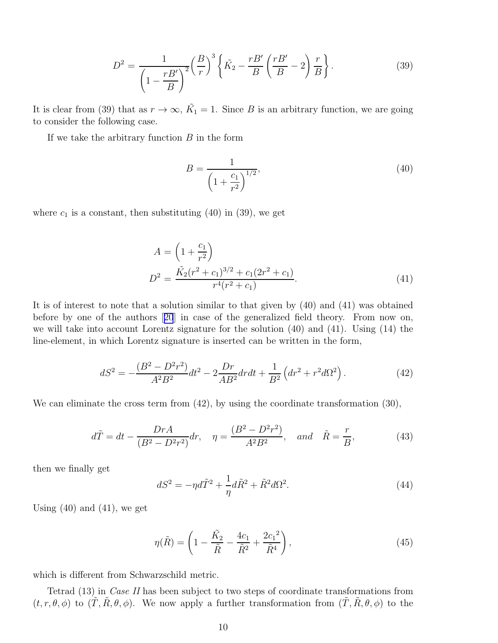$$
D^2 = \frac{1}{\left(1 - \frac{rB'}{B}\right)^2} \left(\frac{B}{r}\right)^3 \left\{\tilde{K}_2 - \frac{rB'}{B}\left(\frac{rB'}{B} - 2\right)\frac{r}{B}\right\}.
$$
 (39)

It is clear from (39) that as  $r \to \infty$ ,  $\tilde{K_1} = 1$ . Since B is an arbitrary function, we are going to consider the following case.

If we take the arbitrary function  $B$  in the form

$$
B = \frac{1}{\left(1 + \frac{c_1}{r^2}\right)^{1/2}},\tag{40}
$$

where  $c_1$  is a constant, then substituting (40) in (39), we get

$$
A = \left(1 + \frac{c_1}{r^2}\right)
$$
  

$$
D^2 = \frac{\tilde{K_2}(r^2 + c_1)^{3/2} + c_1(2r^2 + c_1)}{r^4(r^2 + c_1)}.
$$
 (41)

It is of interest to note that a solution similar to that given by (40) and (41) was obtained before by one of the authors[[20](#page-14-0)] in case of the generalized field theory. From now on, we will take into account Lorentz signature for the solution (40) and (41). Using (14) the line-element, in which Lorentz signature is inserted can be written in the form,

$$
dS^{2} = -\frac{(B^{2} - D^{2}r^{2})}{A^{2}B^{2}}dt^{2} - 2\frac{Dr}{AB^{2}}drdt + \frac{1}{B^{2}}\left(dr^{2} + r^{2}d\Omega^{2}\right).
$$
 (42)

We can eliminate the cross term from  $(42)$ , by using the coordinate transformation  $(30)$ ,

$$
d\tilde{T} = dt - \frac{DrA}{(B^2 - D^2r^2)}dr, \quad \eta = \frac{(B^2 - D^2r^2)}{A^2B^2}, \quad and \quad \tilde{R} = \frac{r}{B},
$$
 (43)

then we finally get

$$
dS^2 = -\eta d\tilde{T}^2 + \frac{1}{\eta}d\tilde{R}^2 + \tilde{R}^2d\Omega^2.
$$
\n(44)

Using  $(40)$  and  $(41)$ , we get

$$
\eta(\tilde{R}) = \left(1 - \frac{\tilde{K}_2}{\tilde{R}} - \frac{4c_1}{\tilde{R}^2} + \frac{2c_1^2}{\tilde{R}^4}\right),\tag{45}
$$

which is different from Schwarzschild metric.

Tetrad (13) in *Case II* has been subject to two steps of coordinate transformations from  $(t, r, \theta, \phi)$  to  $(\tilde{T}, \tilde{R}, \theta, \phi)$ . We now apply a further transformation from  $(\tilde{T}, \tilde{R}, \theta, \phi)$  to the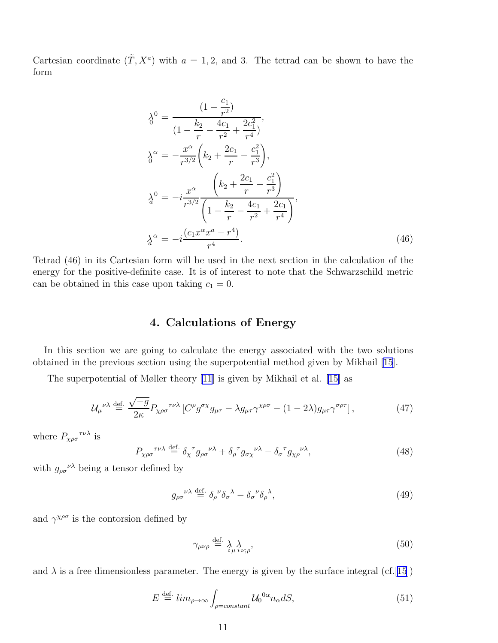Cartesian coordinate  $(\tilde{T}, X^a)$  with  $a = 1, 2$ , and 3. The tetrad can be shown to have the form

$$
\lambda_0^0 = \frac{(1 - \frac{c_1}{r^2})}{(1 - \frac{k_2}{r} - \frac{4c_1}{r^2} + \frac{2c_1^2}{r^4})},
$$
\n
$$
\lambda_0^\alpha = -\frac{x^\alpha}{r^{3/2}} \left( k_2 + \frac{2c_1}{r} - \frac{c_1^2}{r^3} \right),
$$
\n
$$
\lambda_0^0 = -i \frac{x^\alpha}{r^{3/2}} \frac{\left( k_2 + \frac{2c_1}{r} - \frac{c_1^2}{r^3} \right)}{\left( 1 - \frac{k_2}{r} - \frac{4c_1}{r^2} + \frac{2c_1}{r^4} \right)},
$$
\n
$$
\lambda_0^\alpha = -i \frac{(c_1 x^\alpha x^\alpha - r^4)}{r^4}.
$$
\n(46)

Tetrad (46) in its Cartesian form will be used in the next section in the calculation of the energy for the positive-definite case. It is of interest to note that the Schwarzschild metric can be obtained in this case upon taking  $c_1 = 0$ .

### 4. Calculations of Energy

In this section we are going to calculate the energy associated with the two solutions obtained in the previous section using the superpotential method given by Mikhail[[15](#page-14-0)].

The superpotential of Møller theory [\[11](#page-14-0)] is given by Mikhail et al. [\[15\]](#page-14-0) as

$$
\mathcal{U}_{\mu}^{\ \nu\lambda} \stackrel{\text{def.}}{=} \frac{\sqrt{-g}}{2\kappa} P_{\chi\rho\sigma}^{\ \tau\nu\lambda} \left[ C^{\rho} g^{\sigma\chi} g_{\mu\tau} - \lambda g_{\mu\tau} \gamma^{\chi\rho\sigma} - (1 - 2\lambda) g_{\mu\tau} \gamma^{\sigma\rho\tau} \right],\tag{47}
$$

where  $P_{\chi\rho\sigma}^{\quad \tau\nu\lambda}$  is

$$
P_{\chi\rho\sigma}^{\quad \tau\nu\lambda} \stackrel{\text{def.}}{=} \delta_{\chi}^{\quad \tau} g_{\rho\sigma}^{\quad \nu\lambda} + \delta_{\rho}^{\quad \tau} g_{\sigma\chi}^{\quad \nu\lambda} - \delta_{\sigma}^{\quad \tau} g_{\chi\rho}^{\quad \nu\lambda}, \tag{48}
$$

with  $g_{\rho\sigma}^{\nu\lambda}$  being a tensor defined by

$$
g_{\rho\sigma}{}^{\nu\lambda} \stackrel{\text{def.}}{=} \delta_{\rho}{}^{\nu} \delta_{\sigma}{}^{\lambda} - \delta_{\sigma}{}^{\nu} \delta_{\rho}{}^{\lambda},\tag{49}
$$

and  $\gamma^{\chi\rho\sigma}$  is the contorsion defined by

$$
\gamma_{\mu\nu\rho} \stackrel{\text{def.}}{=} \lambda_{\mu i \nu; \rho},\tag{50}
$$

and  $\lambda$  is a free dimensionless parameter. The energy is given by the surface integral (cf. [[15](#page-14-0)])

$$
E \stackrel{\text{def.}}{=} \lim_{\rho \to \infty} \int_{\rho = constant} \mathcal{U}_0^{0\alpha} n_{\alpha} dS,\tag{51}
$$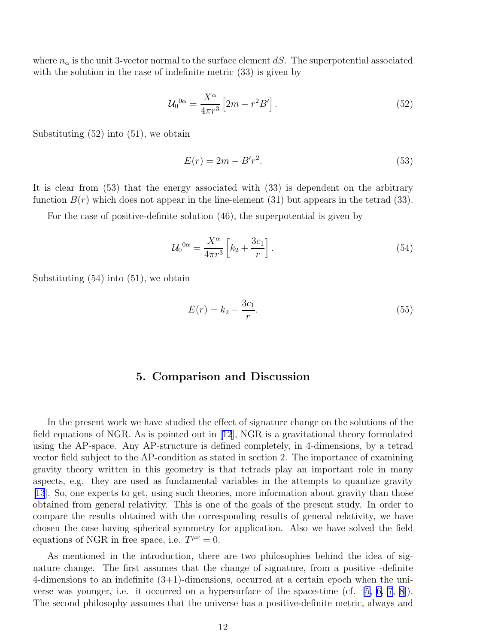where  $n_{\alpha}$  is the unit 3-vector normal to the surface element dS. The superpotential associated with the solution in the case of indefinite metric  $(33)$  is given by

$$
\mathcal{U}_0^{0\alpha} = \frac{X^{\alpha}}{4\pi r^3} \left[ 2m - r^2 B' \right]. \tag{52}
$$

Substituting (52) into (51), we obtain

$$
E(r) = 2m - B'r^2. \tag{53}
$$

It is clear from (53) that the energy associated with (33) is dependent on the arbitrary function  $B(r)$  which does not appear in the line-element (31) but appears in the tetrad (33).

For the case of positive-definite solution (46), the superpotential is given by

$$
\mathcal{U}_0^{0\alpha} = \frac{X^{\alpha}}{4\pi r^3} \left[ k_2 + \frac{3c_1}{r} \right]. \tag{54}
$$

Substituting (54) into (51), we obtain

$$
E(r) = k_2 + \frac{3c_1}{r}.\tag{55}
$$

#### 5. Comparison and Discussion

In the present work we have studied the effect of signature change on the solutions of the field equations of NGR. As is pointed out in[[12](#page-14-0)], NGR is a gravitational theory formulated using the AP-space. Any AP-structure is defined completely, in 4-dimensions, by a tetrad vector field subject to the AP-condition as stated in section 2. The importance of examining gravity theory written in this geometry is that tetrads play an important role in many aspects, e.g. they are used as fundamental variables in the attempts to quantize gravity [[13](#page-14-0)]. So, one expects to get, using such theories, more information about gravity than those obtained from general relativity. This is one of the goals of the present study. In order to compare the results obtained with the corresponding results of general relativity, we have chosen the case having spherical symmetry for application. Also we have solved the field equations of NGR in free space, i.e.  $T^{\mu\nu} = 0$ .

As mentioned in the introduction, there are two philosophies behind the idea of signature change. The first assumes that the change of signature, from a positive -definite 4-dimensions to an indefinite (3+1)-dimensions, occurred at a certain epoch when the universe was younger, i.e. it occurred on a hypersurface of the space-time (cf. [\[5, 6, 7](#page-14-0), [8](#page-14-0)]). The second philosophy assumes that the universe has a positive-definite metric, always and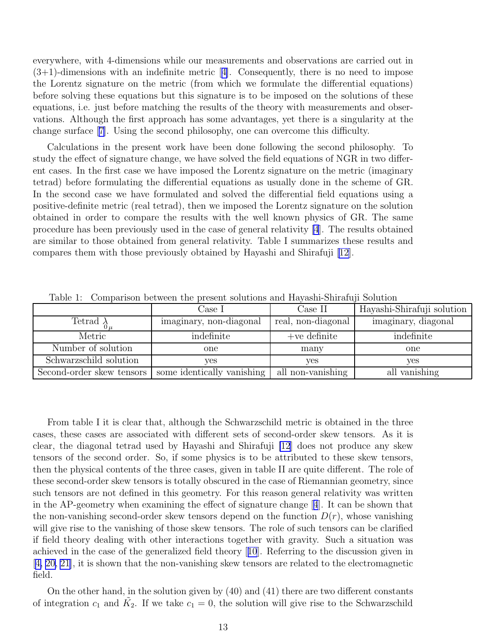everywhere, with 4-dimensions while our measurements and observations are carried out in  $(3+1)$ -dimensionswith an indefinite metric [[4\]](#page-14-0). Consequently, there is no need to impose the Lorentz signature on the metric (from which we formulate the differential equations) before solving these equations but this signature is to be imposed on the solutions of these equations, i.e. just before matching the results of the theory with measurements and observations. Although the first approach has some advantages, yet there is a singularity at the change surface[[7\]](#page-14-0). Using the second philosophy, one can overcome this difficulty.

Calculations in the present work have been done following the second philosophy. To study the effect of signature change, we have solved the field equations of NGR in two different cases. In the first case we have imposed the Lorentz signature on the metric (imaginary tetrad) before formulating the differential equations as usually done in the scheme of GR. In the second case we have formulated and solved the differential field equations using a positive-definite metric (real tetrad), then we imposed the Lorentz signature on the solution obtained in order to compare the results with the well known physics of GR. The same procedure has been previously used in the case of general relativity [\[4](#page-14-0)]. The results obtained are similar to those obtained from general relativity. Table I summarizes these results and compares them with those previously obtained by Hayashi and Shirafuji [\[12\]](#page-14-0).

|                           | Case I                     | Case II            | Hayashi-Shirafuji solution |
|---------------------------|----------------------------|--------------------|----------------------------|
| Tetrad $\lambda$          | imaginary, non-diagonal    | real, non-diagonal | imaginary, diagonal        |
| Metric                    | indefinite                 | $+ve$ definite     | indefinite                 |
| Number of solution        | one                        | many               | one                        |
| Schwarzschild solution    | yes                        | ves                | yes                        |
| Second-order skew tensors | some identically vanishing | all non-vanishing  | all vanishing              |

Table 1: Comparison between the present solutions and Hayashi-Shirafuji Solution

From table I it is clear that, although the Schwarzschild metric is obtained in the three cases, these cases are associated with different sets of second-order skew tensors. As it is clear, the diagonal tetrad used by Hayashi and Shirafuji [\[12](#page-14-0)] does not produce any skew tensors of the second order. So, if some physics is to be attributed to these skew tensors, then the physical contents of the three cases, given in table II are quite different. The role of these second-order skew tensors is totally obscured in the case of Riemannian geometry, since such tensors are not defined in this geometry. For this reason general relativity was written in the AP-geometry when examining the effect of signature change[[4](#page-14-0)]. It can be shown that the non-vanishing second-order skew tensors depend on the function  $D(r)$ , whose vanishing will give rise to the vanishing of those skew tensors. The role of such tensors can be clarified if field theory dealing with other interactions together with gravity. Such a situation was achieved in the case of the generalized field theory[[10](#page-14-0)]. Referring to the discussion given in [[4, 20, 21](#page-14-0)], it is shown that the non-vanishing skew tensors are related to the electromagnetic field.

On the other hand, in the solution given by (40) and (41) there are two different constants of integration  $c_1$  and  $\tilde{K}_2$ . If we take  $c_1 = 0$ , the solution will give rise to the Schwarzschild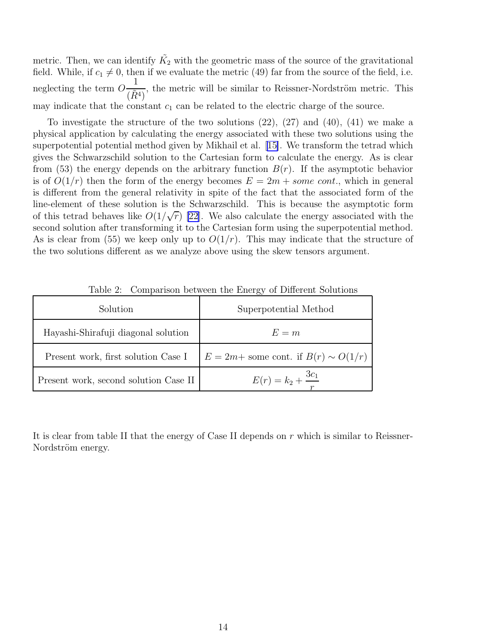metric. Then, we can identify  $\tilde{K_2}$  with the geometric mass of the source of the gravitational field. While, if  $c_1 \neq 0$ , then if we evaluate the metric (49) far from the source of the field, i.e. neglecting the term O 1  $(\tilde{R}^4)$ , the metric will be similar to Reissner-Nordström metric. This may indicate that the constant  $c_1$  can be related to the electric charge of the source.

To investigate the structure of the two solutions  $(22)$ ,  $(27)$  and  $(40)$ ,  $(41)$  we make a physical application by calculating the energy associated with these two solutions using the superpotential potential method given by Mikhail et al.[[15\]](#page-14-0). We transform the tetrad which gives the Schwarzschild solution to the Cartesian form to calculate the energy. As is clear from (53) the energy depends on the arbitrary function  $B(r)$ . If the asymptotic behavior is of  $O(1/r)$  then the form of the energy becomes  $E = 2m + some\ cont.$ , which in general is different from the general relativity in spite of the fact that the associated form of the line-element of these solution is the Schwarzschild. This is because the asymptotic form of this tetrad behaves like  $O(1/\sqrt{r})$  [\[22\]](#page-14-0). We also calculate the energy associated with the second solution after transforming it to the Cartesian form using the superpotential method. As is clear from (55) we keep only up to  $O(1/r)$ . This may indicate that the structure of the two solutions different as we analyze above using the skew tensors argument.

| Solution                              | Superpotential Method                       |  |
|---------------------------------------|---------------------------------------------|--|
| Hayashi-Shirafuji diagonal solution   | $E = m$                                     |  |
| Present work, first solution Case I   | $E = 2m +$ some cont. if $B(r) \sim O(1/r)$ |  |
| Present work, second solution Case II | $E(r) = k_2 + \frac{3c_1}{r}$               |  |

Table 2: Comparison between the Energy of Different Solutions

It is clear from table II that the energy of Case II depends on r which is similar to Reissner-Nordström energy.